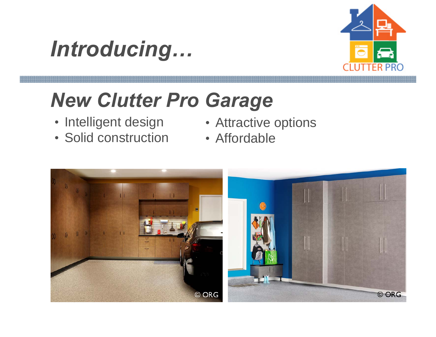



# *New Clutter Pro Garage*

- 
- Solid construction Affordable
- Intelligent design Attractive options
	-

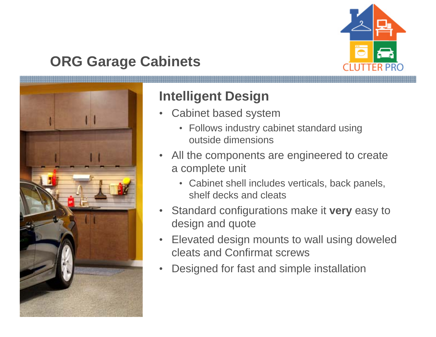

# **ORG Garage Cabinets**



#### **Intelligent Design**

- • Cabinet based system
	- Follows industry cabinet standard using outside dimensions
- $\bullet$  All the components are engineered to create a complete unit
	- Cabinet shell includes verticals, back panels, shelf decks and cleats
- • Standard configurations make it **very** easy to design and quote
- • Elevated design mounts to wall using doweled cleats and Confirmat screws
- •Designed for fast and simple installation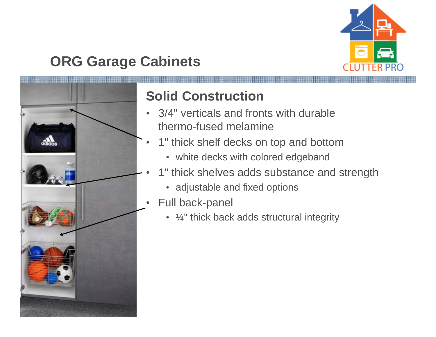

# **ORG Garage Cabinets**



# **Solid Construction**

- $\bullet$  3/4" verticals and fronts with durable thermo-fused melamine
- • 1" thick shelf decks on top and bottom
	- white decks with colored edgeband
- • 1" thick shelves adds substance and strength
	- adjustable and fixed options
- • Full back-panel
	- $\frac{1}{4}$ " thick back adds structural integrity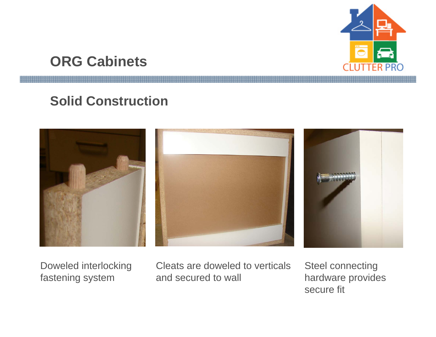

# **ORG Cabinets**

#### **Solid Construction**



Doweled interlocking Cleats are doweled to verticals Steel connecting fastening system and secured to wall hardware provides

secure fit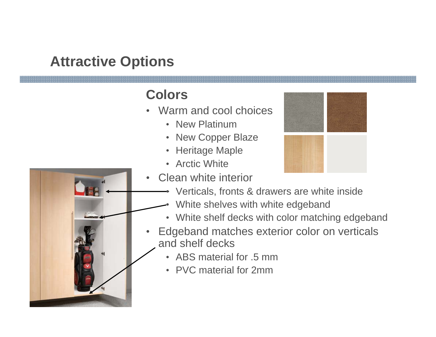#### **Colors**

- Warm and cool choices
	- New Platinum
	- New Copper Blaze
	- Heritage Maple
	- Arctic White



- Verticals, fronts & drawers are white inside
- •White shelves with white edgeband
- White shelf decks with color matching edgeband
- Edgeband matches exterior color on verticals and shelf decks
	- ABS material for .5 mm
	- PVC material for 2mm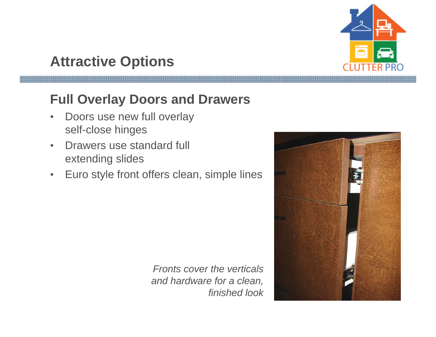

# **Full Overlay Doors and Drawers**

- • Doors use new full overlay self-close hinges
- • Drawers use standard full extending slides
- •Euro style front offers clean, simple lines

*Fronts cover the verticals and hardware for a clean, finished look*

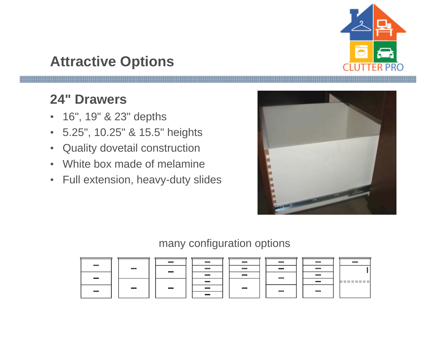

#### **24" Drawers**

- 16", 19" & 23" depths
- 5.25", 10.25" & 15.5" heights
- $\bullet$ Quality dovetail construction
- •White box made of melamine
- $\bullet$ Full extension, heavy-duty slides



#### many configuration options

| $\equiv$                 | $\equiv$ | _        |  | _        |  | -                                   |  |
|--------------------------|----------|----------|--|----------|--|-------------------------------------|--|
|                          |          | $\equiv$ |  | _        |  | _                                   |  |
|                          |          |          |  |          |  |                                     |  |
|                          |          | $\equiv$ |  | $\equiv$ |  |                                     |  |
| $\overline{\phantom{0}}$ |          |          |  |          |  | $\hspace{0.05cm} = \hspace{0.05cm}$ |  |
|                          |          |          |  |          |  |                                     |  |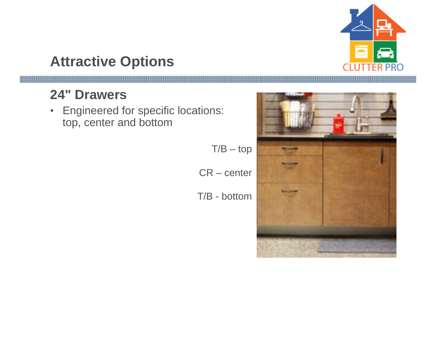

# **24" Drawers**

• Engineered for specific locations: top, center and bottom

T/B – top

CR – center

T/B - bottom

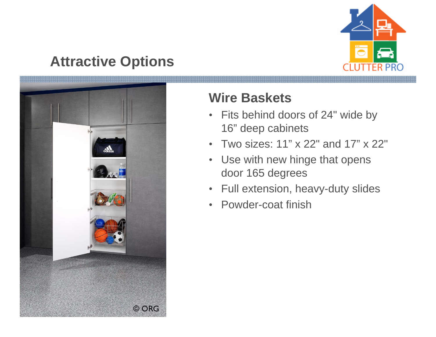



#### **Wire Baskets**

- $\bullet$  Fits behind doors of 24" wide by 16" deep cabinets
- •Two sizes: 11" x 22" and 17" x 22"
- $\bullet$  Use with new hinge that opens door 165 degrees
- $\bullet$ Full extension, heavy-duty slides
- Powder-coat finish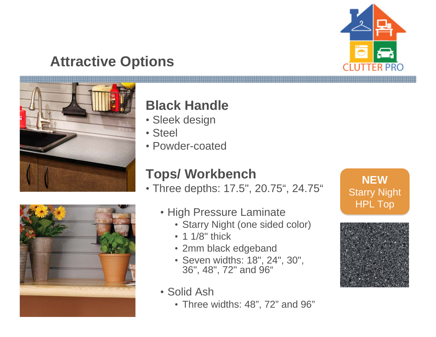



#### **Black Handle**

- Sleek design
- Steel
- Powder-coated

# **Tops/ Workbench**

• Three depths: 17.5", 20.75", 24.75"



- High Pressure Laminate
	- Starry Night (one sided color)
	- 1 1/8" thick
	- 2mm black edgeband
	- Seven widths: 18", 24", 30", 36", 48", 72" and 96"
- Solid Ash
	- Three widths: 48", 72" and 96"



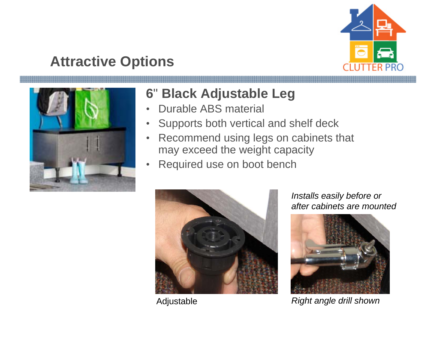



# **6**" **Black Adjustable Leg**

- •Durable ABS material
- •Supports both vertical and shelf deck
- $\bullet$  Recommend using legs on cabinets that may exceed the weight capacity
- •Required use on boot bench



*Installs easily before or after cabinets are mounted* 



Adjustable *Right angle drill shown*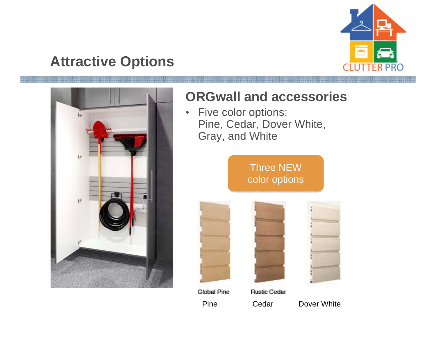



# **ORGwall and accessories**

• Five color options: Pine, Cedar, Dover White, Gray, and White

> Three NEW  $\,$ color options color options





Pine Cedar Dover White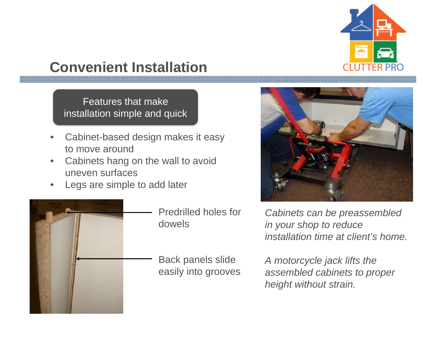

# **Convenient Installation**

Features that make installation simple and quick installation simple and quick

- • Cabinet-based design makes it easy to move around
- • Cabinets hang on the wall to avoid uneven surfaces
- •Legs are simple to add later



- Predrilled holes for dowels
- Back panels slide easily into grooves



*Cabinets can be preassembled in your shop to reduce installation time at client's home.* 

*A motorcycle jack lifts the assembled cabinets to proper height without strain.*